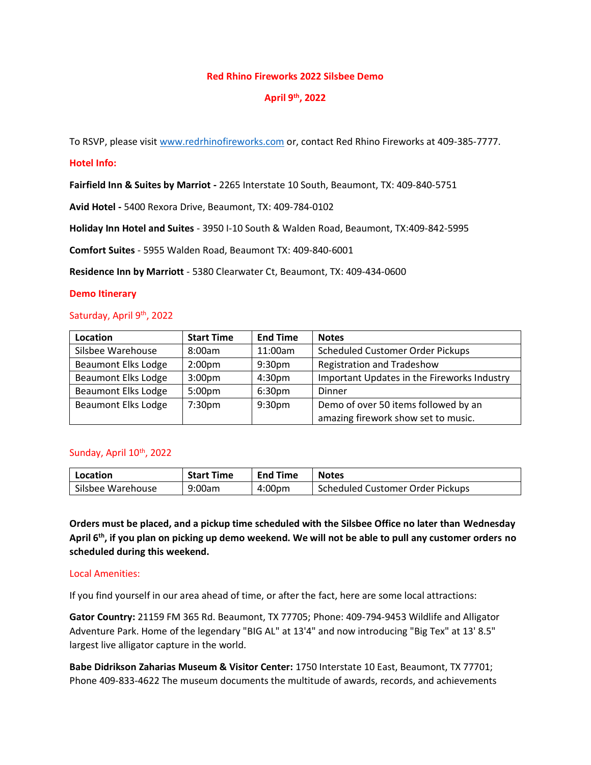## **Red Rhino Fireworks 2022 Silsbee Demo**

# **April 9th, 2022**

To RSVP, please visi[t www.redrhinofireworks.com](http://www.redrhinofireworks.com/) or, contact Red Rhino Fireworks at 409-385-7777.

#### **Hotel Info:**

**Fairfield Inn & Suites by Marriot -** 2265 Interstate 10 South, Beaumont, TX: 409-840-5751

**Avid Hotel -** 5400 Rexora Drive, Beaumont, TX: 409-784-0102

**Holiday Inn Hotel and Suites** - 3950 I-10 South & Walden Road, Beaumont, TX:409-842-5995

**Comfort Suites** - 5955 Walden Road, Beaumont TX: 409-840-6001

**Residence Inn by Marriott** - 5380 Clearwater Ct, Beaumont, TX: 409-434-0600

#### **Demo Itinerary**

## Saturday, April 9<sup>th</sup>, 2022

| Location                   | <b>Start Time</b>  | <b>End Time</b>    | <b>Notes</b>                                |
|----------------------------|--------------------|--------------------|---------------------------------------------|
| Silsbee Warehouse          | 8:00am             | 11:00am            | <b>Scheduled Customer Order Pickups</b>     |
| <b>Beaumont Elks Lodge</b> | 2:00 <sub>pm</sub> | 9:30 <sub>pm</sub> | <b>Registration and Tradeshow</b>           |
| <b>Beaumont Elks Lodge</b> | 3:00 <sub>pm</sub> | 4:30 <sub>pm</sub> | Important Updates in the Fireworks Industry |
| <b>Beaumont Elks Lodge</b> | 5:00 <sub>pm</sub> | 6:30 <sub>pm</sub> | <b>Dinner</b>                               |
| <b>Beaumont Elks Lodge</b> | 7:30 <sub>pm</sub> | 9:30 <sub>pm</sub> | Demo of over 50 items followed by an        |
|                            |                    |                    | amazing firework show set to music.         |

# Sunday, April 10<sup>th</sup>, 2022

| Location          | <b>Start Time</b> | <b>End Time</b>    | <b>Notes</b>                     |
|-------------------|-------------------|--------------------|----------------------------------|
| Silsbee Warehouse | 9:00am            | 4:00 <sub>pm</sub> | Scheduled Customer Order Pickups |

**Orders must be placed, and a pickup time scheduled with the Silsbee Office no later than Wednesday April 6th, if you plan on picking up demo weekend. We will not be able to pull any customer orders no scheduled during this weekend.**

# Local Amenities:

If you find yourself in our area ahead of time, or after the fact, here are some local attractions:

**Gator Country:** 21159 FM 365 Rd. Beaumont, TX 77705; Phone: 409-794-9453 Wildlife and Alligator Adventure Park. Home of the legendary "BIG AL" at 13'4" and now introducing "Big Tex" at 13' 8.5" largest live alligator capture in the world.

**Babe Didrikson Zaharias Museum & Visitor Center:** 1750 Interstate 10 East, Beaumont, TX 77701; Phone 409-833-4622 The museum documents the multitude of awards, records, and achievements